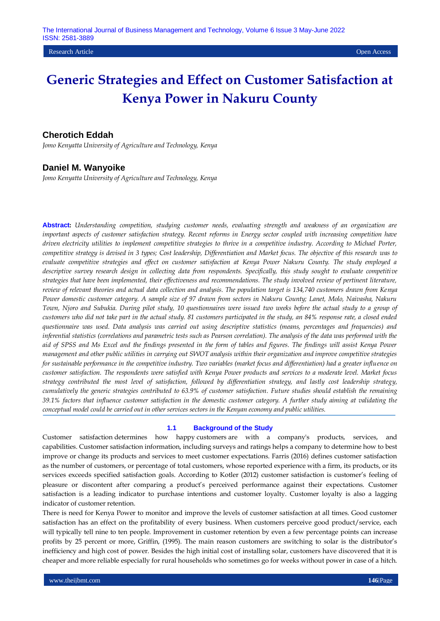# **Cherotich Eddah**

*Jomo Kenyatta University of Agriculture and Technology, Kenya*

## **Daniel M. Wanyoike**

*Jomo Kenyatta University of Agriculture and Technology, Kenya*

**Abstract:** *Understanding competition, studying customer needs, evaluating strength and weakness of an organization are important aspects of customer satisfaction strategy. Recent reforms in Energy sector coupled with increasing competition have driven electricity utilities to implement competitive strategies to thrive in a competitive industry. According to Michael Porter, competitive strategy is devised in 3 types; Cost leadership, Differentiation and Market focus. The objective of this research was to evaluate competitive strategies and effect on customer satisfaction at Kenya Power Nakuru County. The study employed a*  descriptive survey research design in collecting data from respondents. Specifically, this study sought to evaluate competitive *strategies that have been implemented, their effectiveness and recommendations. The study involved review of pertinent literature, review of relevant theories and actual data collection and analysis. The population target is 134,740 customers drawn from Kenya Power domestic customer category. A sample size of 97 drawn from sectors in Nakuru County; Lanet, Molo, Naivasha, Nakuru Town, Njoro and Subukia. During pilot study, 10 questionnaires were issued two weeks before the actual study to a group of customers who did not take part in the actual study. 81 customers participated in the study, an 84% response rate, a closed ended questionnaire was used. Data analysis was carried out using descriptive statistics (means, percentages and frequencies) and inferential statistics (correlations and parametric tests such as Pearson correlation). The analysis of the data was performed with the aid of SPSS and Ms Excel and the findings presented in the form of tables and figures. The findings will assist Kenya Power management and other public utilities in carrying out SWOT analysis within their organization and improve competitive strategies for sustainable performance in the competitive industry. Two variables (market focus and differentiation) had a greater influence on customer satisfaction. The respondents were satisfied with Kenya Power products and services to a moderate level. Market focus strategy contributed the most level of satisfaction, followed by differentiation strategy, and lastly cost leadership strategy, cumulatively the generic strategies contributed to 63.9% of customer satisfaction. Future studies should establish the remaining 39.1% factors that influence customer satisfaction in the domestic customer category. A further study aiming at validating the conceptual model could be carried out in other services sectors in the Kenyan economy and public utilities.*

#### **1.1 Background of the Study**

Customer satisfaction determines how happy customers are with a company's products, services, and capabilities. Customer satisfaction information, including surveys and ratings helps a company to determine how to best improve or change its products and services to meet customer expectations. Farris (2016) defines customer satisfaction as the number of customers, or percentage of total customers, whose reported experience with a firm, its products, or its services exceeds specified satisfaction goals. According to Kotler (2012) customer satisfaction is customer's feeling of pleasure or discontent after comparing a product's perceived performance against their expectations. Customer satisfaction is a leading indicator to purchase intentions and customer loyalty. Customer loyalty is also a lagging indicator of customer retention.

There is need for Kenya Power to monitor and improve the levels of customer satisfaction at all times. Good customer satisfaction has an effect on the profitability of every business. When customers perceive good product/service, each will typically tell nine to ten people. Improvement in customer retention by even a few percentage points can increase profits by 25 percent or more, Griffin, (1995). The main reason customers are switching to solar is the distributor's inefficiency and high cost of power. Besides the high initial cost of installing solar, customers have discovered that it is cheaper and more reliable especially for rural households who sometimes go for weeks without power in case of a hitch.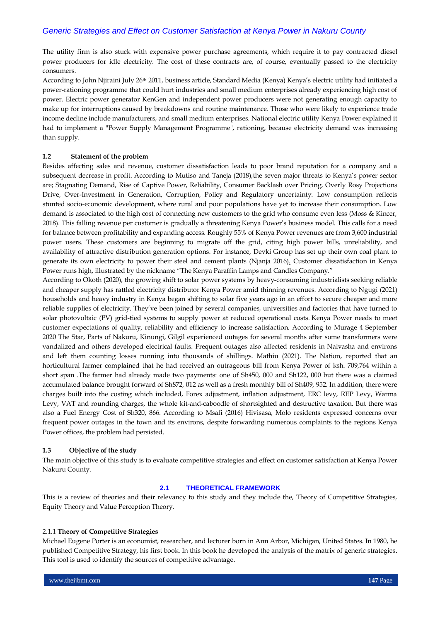The utility firm is also stuck with expensive power purchase agreements, which require it to pay contracted diesel power producers for idle electricity. The cost of these contracts are, of course, eventually passed to the electricity consumers.

According to John Njiraini July 26<sup>th</sup> 2011, business article, Standard Media (Kenya) Kenya's electric utility had initiated a power-rationing programme that could hurt industries and small medium enterprises already experiencing high cost of power. Electric power generator KenGen and independent power producers were not generating enough capacity to make up for interruptions caused by breakdowns and routine maintenance. Those who were likely to experience trade income decline include manufacturers, and small medium enterprises. National electric utility Kenya Power explained it had to implement a "Power Supply Management Programme", rationing, because electricity demand was increasing than supply.

#### **1.2 Statement of the problem**

Besides affecting sales and revenue, customer dissatisfaction leads to poor brand reputation for a company and a subsequent decrease in profit. According to [Mutiso](https://www.energyforgrowth.org/us/rose-mutiso/) and [Taneja](https://www.energyforgrowth.org/us/jay-taneja/) (2018), the seven major threats to Kenya's power sector are; Stagnating Demand, Rise of Captive Power, Reliability, Consumer Backlash over Pricing, Overly Rosy Projections Drive, Over-Investment in Generation, Corruption, Policy and Regulatory uncertainty. Low consumption reflects stunted socio-economic development, where rural and poor populations have yet to increase their consumption. Low demand is associated to the high cost of connecting new customers to the grid who consume even less (Moss & Kincer, 2018). This falling revenue per customer is gradually a threatening Kenya Power's business model. This calls for a need for balance between profitability and expanding access. Roughly 55% of Kenya Power revenues are from 3,600 industrial power users. These customers are beginning to migrate off the grid, citing high power bills, unreliability, and availability of attractive distribution generation options. For instance, Devki Group has set up their own coal plant to generate its own electricity to power their steel and cement plants [\(Njanja 2016\).](https://www.businessdailyafrica.com/corporate/Devki-Group-switches-on-15MW-Kajiado-coal-power-generator/539550-3453498-awufgfz/index.html) Customer dissatisfaction in Kenya Power runs high, illustrated by the nickname "The Kenya Paraffin Lamps and Candles Company."

According to Okoth (2020), the growing shift to solar power systems by heavy-consuming industrialists seeking reliable and cheaper supply has rattled electricity distributor Kenya Power amid thinning revenues. According to Ngugi (2021) households and heavy industry in Kenya began shifting to solar five years ago in an effort to secure cheaper and more reliable supplies of electricity. They've been joined by several companies, universities and factories that have turned to solar photovoltaic (PV) grid-tied systems to supply power at reduced operational costs. Kenya Power needs to meet customer expectations of quality, reliability and efficiency to increase satisfaction. According to Murage 4 September 2020 The Star, Parts of Nakuru, Kinungi, Gilgil experienced outages for several months after some transformers were vandalized and others developed electrical faults. Frequent outages also affected residents in Naivasha and environs and left them counting losses running into thousands of shillings. Mathiu (2021). The Nation, reported that an horticultural farmer complained that he had received an outrageous bill from Kenya Power of ksh. 709,764 within a short span .The farmer had already made two payments: one of Sh450, 000 and Sh122, 000 but there was a claimed accumulated balance brought forward of Sh872, 012 as well as a fresh monthly bill of Sh409, 952. In addition, there were charges built into the costing which included, Forex adjustment, inflation adjustment, ERC levy, REP Levy, Warma Levy, VAT and rounding charges, the whole kit-and-caboodle of shortsighted and destructive taxation. But there was also a Fuel Energy Cost of Sh320, 866. According to Msafi (2016) Hivisasa, Molo residents expressed concerns over frequent power outages in the town and its environs, despite forwarding numerous complaints to the regions Kenya Power offices, the problem had persisted.

#### **1.3 Objective of the study**

The main objective of this study is to evaluate competitive strategies and effect on customer satisfaction at Kenya Power Nakuru County.

#### **2.1 THEORETICAL FRAMEWORK**

This is a review of theories and their relevancy to this study and they include the, Theory of Competitive Strategies, Equity Theory and Value Perception Theory.

#### 2.1.1 **Theory of Competitive Strategies**

Michael Eugene Porter is an economist, researcher, and lecturer born in Ann Arbor, Michigan, United States. In 1980, he published Competitive Strategy, his first book. In this book he developed the analysis of the matrix of generic strategies. This tool is used to identify the sources of competitive advantage.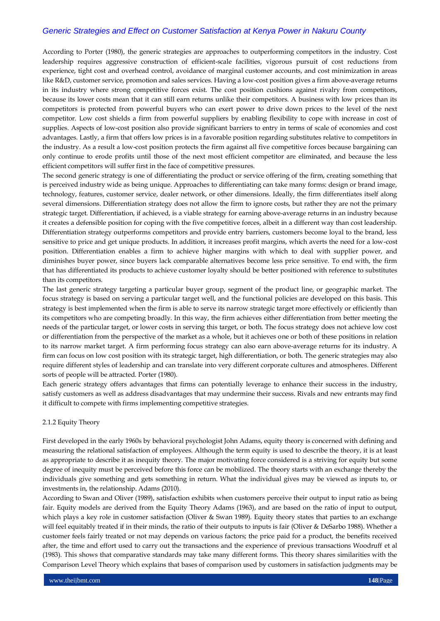According to Porter (1980), the generic strategies are approaches to outperforming competitors in the industry. Cost leadership requires aggressive construction of efficient-scale facilities, vigorous pursuit of cost reductions from experience, tight cost and overhead control, avoidance of marginal customer accounts, and cost minimization in areas like R&D, customer service, promotion and sales services. Having a low-cost position gives a firm above-average returns in its industry where strong competitive forces exist. The cost position cushions against rivalry from competitors, because its lower costs mean that it can still earn returns unlike their competitors. A business with low prices than its competitors is protected from powerful buyers who can exert power to drive down prices to the level of the next competitor. Low cost shields a firm from powerful suppliers by enabling flexibility to cope with increase in cost of supplies. Aspects of low-cost position also provide significant barriers to entry in terms of scale of economies and cost advantages. Lastly, a firm that offers low prices is in a favorable position regarding substitutes relative to competitors in the industry. As a result a low-cost position protects the firm against all five competitive forces because bargaining can only continue to erode profits until those of the next most efficient competitor are eliminated, and because the less efficient competitors will suffer first in the face of competitive pressures.

The second generic strategy is one of differentiating the product or service offering of the firm, creating something that is perceived industry wide as being unique. Approaches to differentiating can take many forms: design or brand image, technology, features, customer service, dealer network, or other dimensions. Ideally, the firm differentiates itself along several dimensions. Differentiation strategy does not allow the firm to ignore costs, but rather they are not the primary strategic target. Differentiation, if achieved, is a viable strategy for earning above-average returns in an industry because it creates a defensible position for coping with the five competitive forces, albeit in a different way than cost leadership. Differentiation strategy outperforms competitors and provide entry barriers, customers become loyal to the brand, less sensitive to price and get unique products. In addition, it increases profit margins, which averts the need for a low-cost position. Differentiation enables a firm to achieve higher margins with which to deal with supplier power, and diminishes buyer power, since buyers lack comparable alternatives become less price sensitive. To end with, the firm that has differentiated its products to achieve customer loyalty should be better positioned with reference to substitutes than its competitors.

The last generic strategy targeting a particular buyer group, segment of the product line, or geographic market. The focus strategy is based on serving a particular target well, and the functional policies are developed on this basis. This strategy is best implemented when the firm is able to serve its narrow strategic target more effectively or efficiently than its competitors who are competing broadly. In this way, the firm achieves either differentiation from better meeting the needs of the particular target, or lower costs in serving this target, or both. The focus strategy does not achieve low cost or differentiation from the perspective of the market as a whole, but it achieves one or both of these positions in relation to its narrow market target. A firm performing focus strategy can also earn above-average returns for its industry. A firm can focus on low cost position with its strategic target, high differentiation, or both. The generic strategies may also require different styles of leadership and can translate into very different corporate cultures and atmospheres. Different sorts of people will be attracted. Porter (1980).

Each generic strategy offers advantages that firms can potentially leverage to enhance their success in the industry, satisfy customers as well as address disadvantages that may undermine their success. Rivals and new entrants may find it difficult to compete with firms implementing competitive strategies.

#### 2.1.2 Equity Theory

First developed in the early 1960s by behavioral psychologist John Adams, equity theory is concerned with defining and measuring the relational satisfaction of employees. Although the term equity is used to describe the theory, it is at least as appropriate to describe it as inequity theory. The major motivating force considered is a striving for equity but some degree of inequity must be perceived before this force can be mobilized. The theory starts with an exchange thereby the individuals give something and gets something in return. What the individual gives may be viewed as inputs to, or investments in, the relationship. Adams (2010).

According to Swan and Oliver (1989), satisfaction exhibits when customers perceive their output to input ratio as being fair. Equity models are derived from the Equity Theory Adams (1963), and are based on the ratio of input to output, which plays a key role in customer satisfaction (Oliver & Swan 1989). Equity theory states that parties to an exchange will feel equitably treated if in their minds, the ratio of their outputs to inputs is fair (Oliver & DeSarbo 1988). Whether a customer feels fairly treated or not may depends on various factors; the price paid for a product, the benefits received after, the time and effort used to carry out the transactions and the experience of previous transactions Woodruff et al (1983). This shows that comparative standards may take many different forms. This theory shares similarities with the Comparison Level Theory which explains that bases of comparison used by customers in satisfaction judgments may be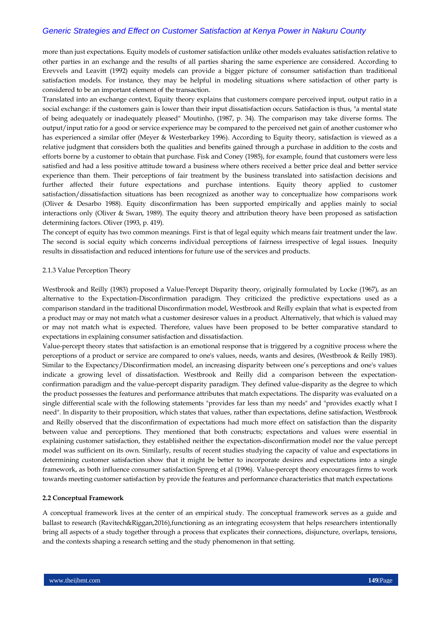more than just expectations. Equity models of customer satisfaction unlike other models evaluates satisfaction relative to other parties in an exchange and the results of all parties sharing the same experience are considered. According to Erevvels and Leavitt (1992) equity models can provide a bigger picture of consumer satisfaction than traditional satisfaction models. For instance, they may be helpful in modeling situations where satisfaction of other party is considered to be an important element of the transaction.

Translated into an exchange context, Equity theory explains that customers compare perceived input, output ratio in a social exchange: if the customers gain is lower than their input dissatisfaction occurs. Satisfaction is thus, "a mental state of being adequately or inadequately pleased" Moutinho, (1987, p. 34). The comparison may take diverse forms. The output/input ratio for a good or service experience may be compared to the perceived net gain of another customer who has experienced a similar offer (Meyer & Westerbarkey 1996). According to Equity theory, satisfaction is viewed as a relative judgment that considers both the qualities and benefits gained through a purchase in addition to the costs and efforts borne by a customer to obtain that purchase. Fisk and Coney (1985), for example, found that customers were less satisfied and had a less positive attitude toward a business where others received a better price deal and better service experience than them. Their perceptions of fair treatment by the business translated into satisfaction decisions and further affected their future expectations and purchase intentions. Equity theory applied to customer satisfaction/dissatisfaction situations has been recognized as another way to conceptualize how comparisons work (Oliver & Desarbo 1988). Equity disconfirmation has been supported empirically and applies mainly to social interactions only (Oliver & Swan, 1989). The equity theory and attribution theory have been proposed as satisfaction determining factors. Oliver (1993, p. 419).

The concept of equity has two common meanings. First is that of legal equity which means fair treatment under the law. The second is social equity which concerns individual perceptions of fairness irrespective of legal issues. Inequity results in dissatisfaction and reduced intentions for future use of the services and products.

#### 2.1.3 Value Perception Theory

Westbrook and Reilly (1983) proposed a Value-Percept Disparity theory, originally formulated by Locke (1967), as an alternative to the Expectation-Disconfirmation paradigm. They criticized the predictive expectations used as a comparison standard in the traditional Disconfirmation model, Westbrook and Reilly explain that what is expected from a product may or may not match what a customer desiresor values in a product. Alternatively, that which is valued may or may not match what is expected. Therefore, values have been proposed to be better comparative standard to expectations in explaining consumer satisfaction and dissatisfaction.

Value-percept theory states that satisfaction is an emotional response that is triggered by a cognitive process where the perceptions of a product or service are compared to one's values, needs, wants and desires, (Westbrook & Reilly 1983). Similar to the Expectancy/Disconfirmation model, an increasing disparity between one's perceptions and one's values indicate a growing level of dissatisfaction. Westbrook and Reilly did a comparison between the expectationconfirmation paradigm and the value-percept disparity paradigm. They defined value-disparity as the degree to which the product possesses the features and performance attributes that match expectations. The disparity was evaluated on a single differential scale with the following statements "provides far less than my needs" and "provides exactly what I need". In disparity to their proposition, which states that values, rather than expectations, define satisfaction, Westbrook and Reilly observed that the disconfirmation of expectations had much more effect on satisfaction than the disparity between value and perceptions. They mentioned that both constructs; expectations and values were essential in explaining customer satisfaction, they established neither the expectation-disconfirmation model nor the value percept model was sufficient on its own. Similarly, results of recent studies studying the capacity of value and expectations in determining customer satisfaction show that it might be better to incorporate desires and expectations into a single framework, as both influence consumer satisfaction Spreng et al (1996). Value-percept theory encourages firms to work towards meeting customer satisfaction by provide the features and performance characteristics that match expectations

#### **2.2 Conceptual Framework**

A conceptual framework lives at the center of an empirical study. The conceptual framework serves as a guide and ballast to research (Ravitech&Riggan,2016),functioning as an integrating ecosystem that helps researchers intentionally bring all aspects of a study together through a process that explicates their connections, disjuncture, overlaps, tensions, and the contexts shaping a research setting and the study phenomenon in that setting.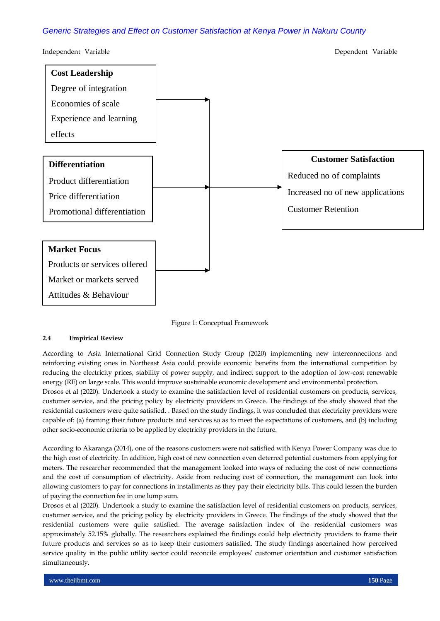



## **2.4 Empirical Review**

According to Asia International Grid Connection Study Group (2020) implementing new interconnections and reinforcing existing ones in Northeast Asia could provide economic benefits from the international competition by reducing the electricity prices, stability of power supply, and indirect support to the adoption of low-cost renewable energy (RE) on large scale. This would improve sustainable economic development and environmental protection.

Drosos et al (2020). Undertook a study to examine the satisfaction level of residential customers on products, services, customer service, and the pricing policy by electricity providers in Greece. The findings of the study showed that the residential customers were quite satisfied. . Based on the study findings, it was concluded that electricity providers were capable of: (a) framing their future products and services so as to meet the expectations of customers, and (b) including other socio-economic criteria to be applied by electricity providers in the future.

According to Akaranga (2014), one of the reasons customers were not satisfied with Kenya Power Company was due to the high cost of electricity. In addition, high cost of new connection even deterred potential customers from applying for meters. The researcher recommended that the management looked into ways of reducing the cost of new connections and the cost of consumption of electricity. Aside from reducing cost of connection, the management can look into allowing customers to pay for connections in installments as they pay their electricity bills. This could lessen the burden of paying the connection fee in one lump sum.

Drosos et al (2020). Undertook a study to examine the satisfaction level of residential customers on products, services, customer service, and the pricing policy by electricity providers in Greece. The findings of the study showed that the residential customers were quite satisfied. The average satisfaction index of the residential customers was approximately 52.15% globally. The researchers explained the findings could help electricity providers to frame their future products and services so as to keep their customers satisfied. The study findings ascertained how perceived service quality in the public utility sector could reconcile employees' customer orientation and customer satisfaction simultaneously.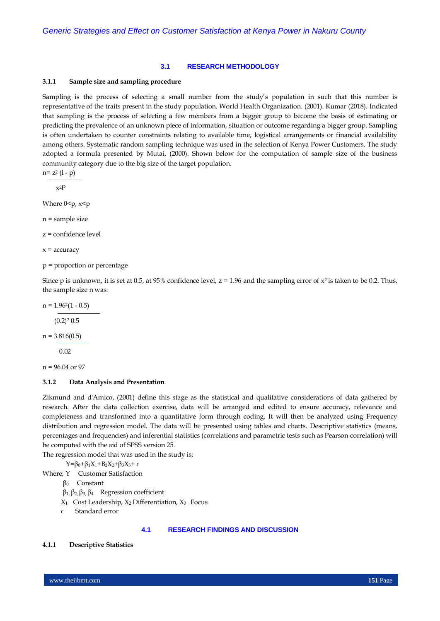#### **3.1 RESEARCH METHODOLOGY**

#### **3.1.1 Sample size and sampling procedure**

Sampling is the process of selecting a small number from the study's population in such that this number is representative of the traits present in the study population. World Health Organization. (2001). Kumar (2018). Indicated that sampling is the process of selecting a few members from a bigger group to become the basis of estimating or predicting the prevalence of an unknown piece of information, situation or outcome regarding a bigger group. Sampling is often undertaken to counter constraints relating to available time, logistical arrangements or financial availability among others. Systematic random sampling technique was used in the selection of Kenya Power Customers. The study adopted a formula presented by Mutai, (2000). Shown below for the computation of sample size of the business community category due to the big size of the target population.

 $n= z^2 (1-p)$ 

x2P

Where  $0 < p$ ,  $x < p$ 

n = sample size

z = confidence level

 $x =$  accuracy

p = proportion or percentage

Since p is unknown, it is set at 0.5, at 95% confidence level,  $z = 1.96$  and the sampling error of  $x^2$  is taken to be 0.2. Thus, the sample size n was:

 $n = 1.962(1 - 0.5)$ 

 $(0.2)^2 0.5$ 

 $n = 3.816(0.5)$ 

0.02

 $n = 96.04$  or 97

#### **3.1.2 Data Analysis and Presentation**

Zikmund and d'Amico, (2001) define this stage as the statistical and qualitative considerations of data gathered by research. After the data collection exercise, data will be arranged and edited to ensure accuracy, relevance and completeness and transformed into a quantitative form through coding. It will then be analyzed using Frequency distribution and regression model. The data will be presented using tables and charts. Descriptive statistics (means, percentages and frequencies) and inferential statistics (correlations and parametric tests such as Pearson correlation) will be computed with the aid of SPSS version 25.

The regression model that was used in the study is;

 $Y = \beta_0 + \beta_1 X_1 + B_2 X_2 + \beta_3 X_3 + \epsilon$ 

Where; Y Customer Satisfaction

β0 Constant

β1, β2, β3, β4 Regression coefficient

 $X_1$  Cost Leadership,  $X_2$  Differentiation,  $X_3$  Focus

 $\epsilon$  Standard error

#### **4.1 RESEARCH FINDINGS AND DISCUSSION**

#### **4.1.1 Descriptive Statistics**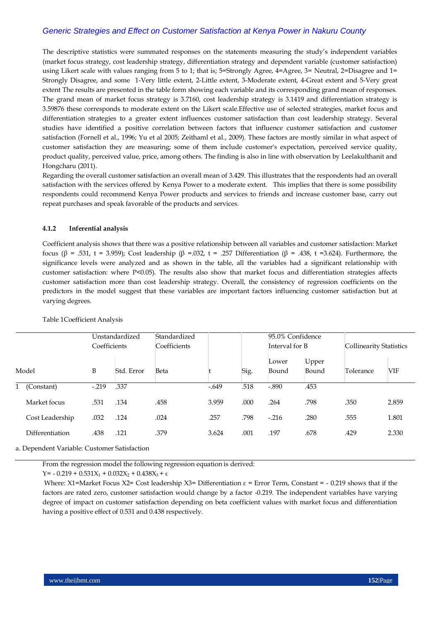The descriptive statistics were summated responses on the statements measuring the study's independent variables (market focus strategy, cost leadership strategy, differentiation strategy and dependent variable (customer satisfaction) using Likert scale with values ranging from 5 to 1; that is; 5=Strongly Agree, 4=Agree, 3= Neutral, 2=Disagree and 1= Strongly Disagree, and some 1-Very little extent, 2-Little extent, 3-Moderate extent, 4-Great extent and 5-Very great extent The results are presented in the table form showing each variable and its corresponding grand mean of responses. The grand mean of market focus strategy is 3.7160, cost leadership strategy is 3.1419 and differentiation strategy is 3.59876 these corresponds to moderate extent on the Likert scale.Effective use of selected strategies, market focus and differentiation strategies to a greater extent influences customer satisfaction than cost leadership strategy. Several studies have identified a positive correlation between factors that influence customer satisfaction and customer satisfaction (Fornell et al., 1996; Yu et al 2005; Zeithaml et al., 2009). These factors are mostly similar in what aspect of customer satisfaction they are measuring; some of them include customer's expectation, perceived service quality, product quality, perceived value, price, among others. The finding is also in line with observation by Leelakulthanit and Hongcharu (2011).

Regarding the overall customer satisfaction an overall mean of 3.429. This illustrates that the respondents had an overall satisfaction with the services offered by Kenya Power to a moderate extent. This implies that there is some possibility respondents could recommend Kenya Power products and services to friends and increase customer base, carry out repeat purchases and speak favorable of the products and services.

#### **4.1.2 Inferential analysis**

Coefficient analysis shows that there was a positive relationship between all variables and customer satisfaction: Market focus (β = .531, t = 3.959); Cost leadership (β = .032, t = .257 Differentiation (β = .438, t = 3.624). Furthermore, the significance levels were analyzed and as shown in the table, all the variables had a significant relationship with customer satisfaction: where P<0.05). The results also show that market focus and differentiation strategies affects customer satisfaction more than cost leadership strategy. Overall, the consistency of regression coefficients on the predictors in the model suggest that these variables are important factors influencing customer satisfaction but at varying degrees.

|  |                 | Coefficients | Unstandardized | Standardized<br>Coefficients |         |      |                | 95.0% Confidence<br>Interval for B |           | <b>Collinearity Statistics</b> |  |
|--|-----------------|--------------|----------------|------------------------------|---------|------|----------------|------------------------------------|-----------|--------------------------------|--|
|  | Model           | B            | Std. Error     | Beta                         |         | Sig. | Lower<br>Bound | Upper<br>Bound                     | Tolerance | VIF                            |  |
|  | Constant)       | $-.219$      | .337           |                              | $-.649$ | .518 | $-.890$        | .453                               |           |                                |  |
|  | Market focus    | .531         | .134           | .458                         | 3.959   | .000 | .264           | .798                               | .350      | 2.859                          |  |
|  | Cost Leadership | .032         | .124           | .024                         | .257    | .798 | $-.216$        | .280                               | .555      | 1.801                          |  |
|  | Differentiation | .438         | .121           | .379                         | 3.624   | .001 | .197           | .678                               | .429      | 2.330                          |  |

#### Table 1Coefficient Analysis

a. Dependent Variable: Customer Satisfaction

From the regression model the following regression equation is derived:

 $Y = -0.219 + 0.531X_1 + 0.032X_2 + 0.438X_3 + \epsilon$ 

Where: X1=Market Focus X2= Cost leadership X3= Differentiation  $\varepsilon$  = Error Term, Constant = -0.219 shows that if the factors are rated zero, customer satisfaction would change by a factor -0.219. The independent variables have varying degree of impact on customer satisfaction depending on beta coefficient values with market focus and differentiation having a positive effect of 0.531 and 0.438 respectively.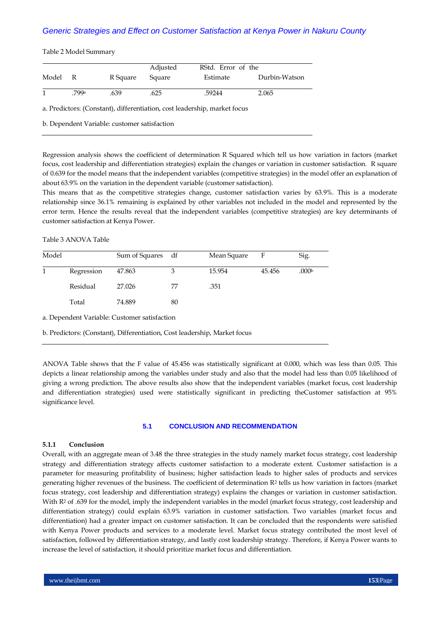Table 2 Model Summary

| Model | R     | R Square | Adjusted<br>Square | RStd. Error of the<br>Estimate | Durbin-Watson |
|-------|-------|----------|--------------------|--------------------------------|---------------|
|       | .799a | .639     | .625               | .59244                         | 2.065         |

a. Predictors: (Constant), differentiation, cost leadership, market focus

b. Dependent Variable: customer satisfaction

Regression analysis shows the coefficient of determination R Squared which tell us how variation in factors (market focus, cost leadership and differentiation strategies) explain the changes or variation in customer satisfaction. R square of 0.639 for the model means that the independent variables (competitive strategies) in the model offer an explanation of about 63.9% on the variation in the dependent variable (customer satisfaction).

This means that as the competitive strategies change, customer satisfaction varies by 63.9%. This is a moderate relationship since 36.1% remaining is explained by other variables not included in the model and represented by the error term. Hence the results reveal that the independent variables (competitive strategies) are key determinants of customer satisfaction at Kenya Power.

Table 3 ANOVA Table

| Model |            | Sum of Squares df |    | Mean Square | F      | Sig.              |
|-------|------------|-------------------|----|-------------|--------|-------------------|
|       | Regression | 47.863            |    | 15.954      | 45.456 | .000 <sub>b</sub> |
|       | Residual   | 27.026            | 77 | .351        |        |                   |
|       | Total      | 74.889            | 80 |             |        |                   |

a. Dependent Variable: Customer satisfaction

b. Predictors: (Constant), Differentiation, Cost leadership, Market focus

ANOVA Table shows that the F value of 45.456 was statistically significant at 0.000, which was less than 0.05. This depicts a linear relationship among the variables under study and also that the model had less than 0.05 likelihood of giving a wrong prediction. The above results also show that the independent variables (market focus, cost leadership and differentiation strategies) used were statistically significant in predicting theCustomer satisfaction at 95% significance level.

#### **5.1 CONCLUSION AND RECOMMENDATION**

#### **5.1.1 Conclusion**

Overall, with an aggregate mean of 3.48 the three strategies in the study namely market focus strategy, cost leadership strategy and differentiation strategy affects customer satisfaction to a moderate extent. Customer satisfaction is a parameter for measuring profitability of business; higher satisfaction leads to higher sales of products and services generating higher revenues of the business. The coefficient of determination R<sup>2</sup> tells us how variation in factors (market focus strategy, cost leadership and differentiation strategy) explains the changes or variation in customer satisfaction. With R<sup>2</sup> of .639 for the model, imply the independent variables in the model (market focus strategy, cost leadership and differentiation strategy) could explain 63.9% variation in customer satisfaction. Two variables (market focus and differentiation) had a greater impact on customer satisfaction. It can be concluded that the respondents were satisfied with Kenya Power products and services to a moderate level. Market focus strategy contributed the most level of satisfaction, followed by differentiation strategy, and lastly cost leadership strategy. Therefore, if Kenya Power wants to increase the level of satisfaction, it should prioritize market focus and differentiation.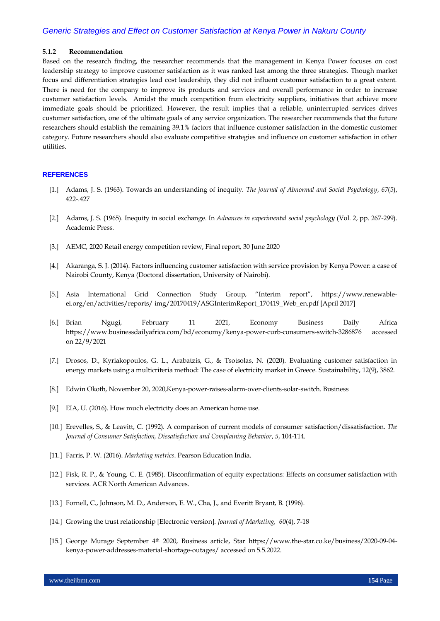#### **5.1.2 Recommendation**

Based on the research finding, the researcher recommends that the management in Kenya Power focuses on cost leadership strategy to improve customer satisfaction as it was ranked last among the three strategies. Though market focus and differentiation strategies lead cost leadership, they did not influent customer satisfaction to a great extent. There is need for the company to improve its products and services and overall performance in order to increase customer satisfaction levels. Amidst the much competition from electricity suppliers, initiatives that achieve more immediate goals should be prioritized. However, the result implies that a reliable, uninterrupted services drives customer satisfaction, one of the ultimate goals of any service organization. The researcher recommends that the future researchers should establish the remaining 39.1% factors that influence customer satisfaction in the domestic customer category. Future researchers should also evaluate competitive strategies and influence on customer satisfaction in other utilities.

### **REFERENCES**

- [1.] Adams, J. S. (1963). Towards an understanding of inequity. *The journal of Abnormal and Social Psychology*, *67*(5), 422-.427
- [2.] Adams, J. S. (1965). Inequity in social exchange. In *Advances in experimental social psychology* (Vol. 2, pp. 267-299). Academic Press.
- [3.] AEMC, 2020 Retail energy competition review, Final report, 30 June 2020
- [4.] Akaranga, S. J. (2014). Factors influencing customer satisfaction with service provision by Kenya Power: a case of Nairobi County, Kenya (Doctoral dissertation, University of Nairobi).
- [5.] Asia International Grid Connection Study Group, "Interim report", https://www.renewableei.org/en/activities/reports/ img/20170419/ASGInterimReport\_170419\_Web\_en.pdf [April 2017]
- [6.] Brian Ngugi, February 11 2021, Economy Business Daily Africa <https://www.businessdailyafrica.com/bd/economy/kenya-power-curb-consumers-switch-3286876>accessed on 22/9/2021
- [7.] Drosos, D., Kyriakopoulos, G. L., Arabatzis, G., & Tsotsolas, N. (2020). Evaluating customer satisfaction in energy markets using a multicriteria method: The case of electricity market in Greece. Sustainability, 12(9), 3862.
- [8.] Edwin Okoth, November 20, 2020,Kenya-power-raises-alarm-over-clients-solar-switch. Business
- [9.] EIA, U. (2016). How much electricity does an American home use.
- [10.] Erevelles, S., & Leavitt, C. (1992). A comparison of current models of consumer satisfaction/dissatisfaction. *The Journal of Consumer Satisfaction, Dissatisfaction and Complaining Behavior*, *5*, 104-114.
- [11.] Farris, P. W. (2016). *Marketing metrics*. Pearson Education India.
- [12.] Fisk, R. P., & Young, C. E. (1985). Disconfirmation of equity expectations: Effects on consumer satisfaction with services. ACR North American Advances.
- [13.] Fornell, C., Johnson, M. D., Anderson, E. W., Cha, J., and Everitt Bryant, B. (1996).
- [14.] Growing the trust relationship [Electronic version]. *Journal of Marketing, 60*(4), 7-18
- [15.] George Murage September 4th 2020, Business article, Star [https://www.the-star.co.ke/business/2020-09-04](https://www.the-star.co.ke/business/2020-09-04-kenya-power-addresses-material-shortage-outages/) [kenya-power-addresses-material-shortage-outages/](https://www.the-star.co.ke/business/2020-09-04-kenya-power-addresses-material-shortage-outages/) accessed on 5.5.2022.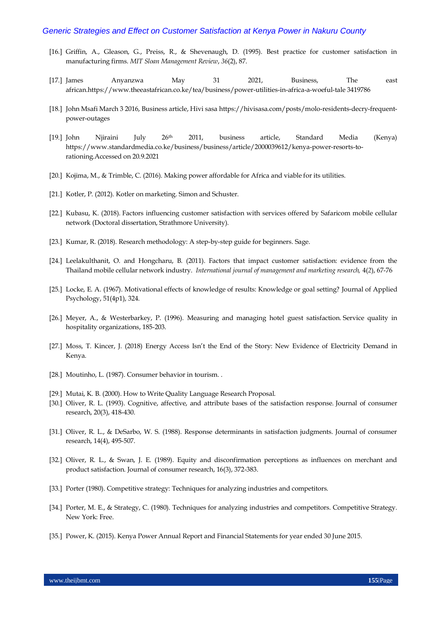- [16.] Griffin, A., Gleason, G., Preiss, R., & Shevenaugh, D. (1995). Best practice for customer satisfaction in manufacturing firms. *MIT Sloan Management Review*, *36*(2), 87.
- [17.] James Anyanzwa May 31 2021, Business, The east african.https://www.theeastafrican.co.ke/tea/business/power-utilities-in-africa-a-woeful-tale 3419786
- [18.] John Msafi March 3 2016, Business article, Hivi sas[a https://hivisasa.com/posts/molo-residents-decry-frequent](https://hivisasa.com/posts/molo-residents-decry-frequent-power-outages)[power-outages](https://hivisasa.com/posts/molo-residents-decry-frequent-power-outages)
- [19.] John Njiraini July 26th 2011, business article, Standard Media (Kenya) [https://www.standardmedia.co.ke/business/business/article/2000039612/kenya-power-resorts-to](https://www.standardmedia.co.ke/business/business/article/2000039612/kenya-power-resorts-to-rationing.Accessed%20on%2020.9.2021)[rationing.Accessed on 20.9.2021](https://www.standardmedia.co.ke/business/business/article/2000039612/kenya-power-resorts-to-rationing.Accessed%20on%2020.9.2021)
- [20.] Kojima, M., & Trimble, C. (2016). Making power affordable for Africa and viable for its utilities.
- [21.] Kotler, P. (2012). Kotler on marketing. Simon and Schuster.
- [22.] Kubasu, K. (2018). Factors influencing customer satisfaction with services offered by Safaricom mobile cellular network (Doctoral dissertation, Strathmore University).
- [23.] Kumar, R. (2018). Research methodology: A step-by-step guide for beginners. Sage.
- [24.] Leelakulthanit, O. and Hongcharu, B. (2011). Factors that impact customer satisfaction: evidence from the Thailand mobile cellular network industry. *International journal of management and marketing research,* 4(*2*), 67-76
- [25.] Locke, E. A. (1967). Motivational effects of knowledge of results: Knowledge or goal setting? Journal of Applied Psychology, 51(4p1), 324.
- [26.] Meyer, A., & Westerbarkey, P. (1996). Measuring and managing hotel guest satisfaction. Service quality in hospitality organizations, 185-203.
- [27.] Moss, T. Kincer, J. (2018) Ener[gy Access Isn't the End of the Story: New Evidence of Electricity Demand in](https://www.cgdev.org/blog/energy-access-isnt-end-story-new-evidence-electricity-demand-kenya)  [Kenya.](https://www.cgdev.org/blog/energy-access-isnt-end-story-new-evidence-electricity-demand-kenya)
- [28.] Moutinho, L. (1987). Consumer behavior in tourism. .
- [29.] Mutai, K. B. (2000). How to Write Quality Language Research Proposal.
- [30.] Oliver, R. L. (1993). Cognitive, affective, and attribute bases of the satisfaction response. Journal of consumer research, 20(3), 418-430.
- [31.] Oliver, R. L., & DeSarbo, W. S. (1988). Response determinants in satisfaction judgments. Journal of consumer research, 14(4), 495-507.
- [32.] Oliver, R. L., & Swan, J. E. (1989). Equity and disconfirmation perceptions as influences on merchant and product satisfaction. Journal of consumer research, 16(3), 372-383.
- [33.] Porter (1980). Competitive strategy: Techniques for analyzing industries and competitors.
- [34.] Porter, M. E., & Strategy, C. (1980). Techniques for analyzing industries and competitors. Competitive Strategy. New York: Free.
- [35.] Power, K. (2015). Kenya Power Annual Report and Financial Statements for year ended 30 June 2015.